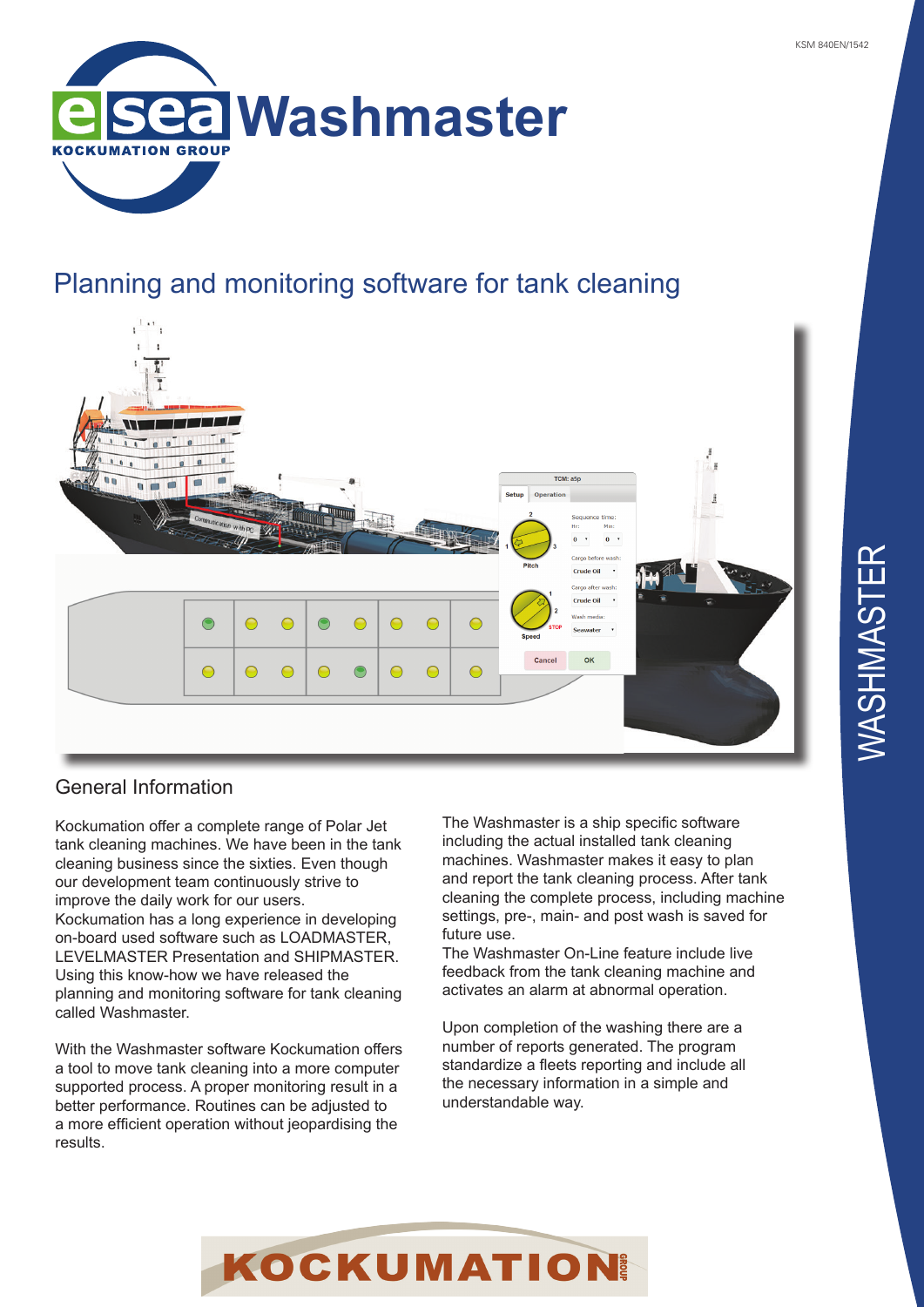

## Planning and monitoring software for tank cleaning



# General Information

Kockumation offer a complete range of Polar Jet tank cleaning machines. We have been in the tank cleaning business since the sixties. Even though our development team continuously strive to improve the daily work for our users. Kockumation has a long experience in developing on-board used software such as LOADMASTER, LEVELMASTER Presentation and SHIPMASTER. Using this know-how we have released the planning and monitoring software for tank cleaning called Washmaster.

With the Washmaster software Kockumation offers a tool to move tank cleaning into a more computer supported process. A proper monitoring result in a better performance. Routines can be adjusted to a more efficient operation without jeopardising the results.

The Washmaster is a ship specific software including the actual installed tank cleaning machines. Washmaster makes it easy to plan and report the tank cleaning process. After tank cleaning the complete process, including machine settings, pre-, main- and post wash is saved for future use.

The Washmaster On-Line feature include live feedback from the tank cleaning machine and activates an alarm at abnormal operation.

Upon completion of the washing there are a number of reports generated. The program standardize a fleets reporting and include all the necessary information in a simple and understandable way.